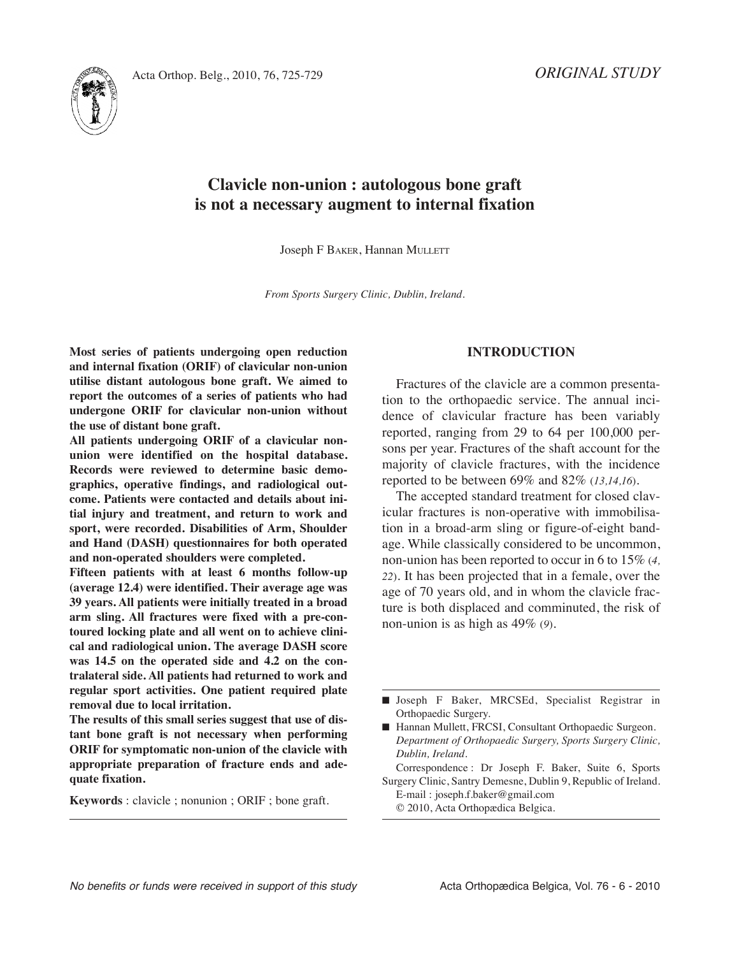*ORIGINAL STUDY*



# **Clavicle non-union : autologous bone graft is not a necessary augment to internal fixation**

Joseph F BAKER, Hannan MULLETT

*From Sports Surgery Clinic, Dublin, Ireland.*

**Most series of patients undergoing open reduction and internal fixation (ORIF) of clavicular non-union utilise distant autologous bone graft. We aimed to report the outcomes of a series of patients who had undergone ORIF for clavicular non-union without the use of distant bone graft.**

**All patients undergoing ORIF of a clavicular nonunion were identified on the hospital database. Records were reviewed to determine basic demographics, operative findings, and radiological outcome. Patients were contacted and details about initial injury and treatment, and return to work and sport, were recorded. Disabilities of Arm, Shoulder and Hand (DASH) questionnaires for both operated and non-operated shoulders were completed.**

**Fifteen patients with at least 6 months follow-up (average 12.4) were identified. Their average age was 39 years. All patients were initially treated in a broad arm sling. All fractures were fixed with a pre-contoured locking plate and all went on to achieve clinical and radiological union. The average DASH score was 14.5 on the operated side and 4.2 on the contralateral side. All patients had returned to work and regular sport activities. One patient required plate removal due to local irritation.**

**The results of this small series suggest that use of distant bone graft is not necessary when performing ORIF for symptomatic non-union of the clavicle with appropriate preparation of fracture ends and adequate fixation.**

**Keywords** : clavicle ; nonunion ; ORIF ; bone graft.

## **INTRODUCTION**

Fractures of the clavicle are a common presentation to the orthopaedic service. The annual incidence of clavicular fracture has been variably reported, ranging from 29 to 64 per 100,000 persons per year. Fractures of the shaft account for the majority of clavicle fractures, with the incidence reported to be between 69% and 82% (*13,14,16*)*.*

The accepted standard treatment for closed clavicular fractures is non-operative with immobilisation in a broad-arm sling or figure-of-eight bandage. While classically considered to be uncommon, non-union has been reported to occur in 6 to 15% (*4, 22*). It has been projected that in a female, over the age of 70 years old, and in whom the clavicle fracture is both displaced and comminuted, the risk of non-union is as high as 49% (*9*)*.*

Correspondence : Dr Joseph F. Baker, Suite 6, Sports Surgery Clinic, Santry Demesne, Dublin 9, Republic of Ireland. E-mail : joseph.f.baker@gmail.com

© 2010, Acta Orthopædica Belgica.

**<sup>■</sup>** Joseph F Baker, MRCSEd, Specialist Registrar in Orthopaedic Surgery.

<sup>■</sup> Hannan Mullett, FRCSI, Consultant Orthopaedic Surgeon. *Department of Orthopaedic Surgery, Sports Surgery Clinic, Dublin, Ireland.*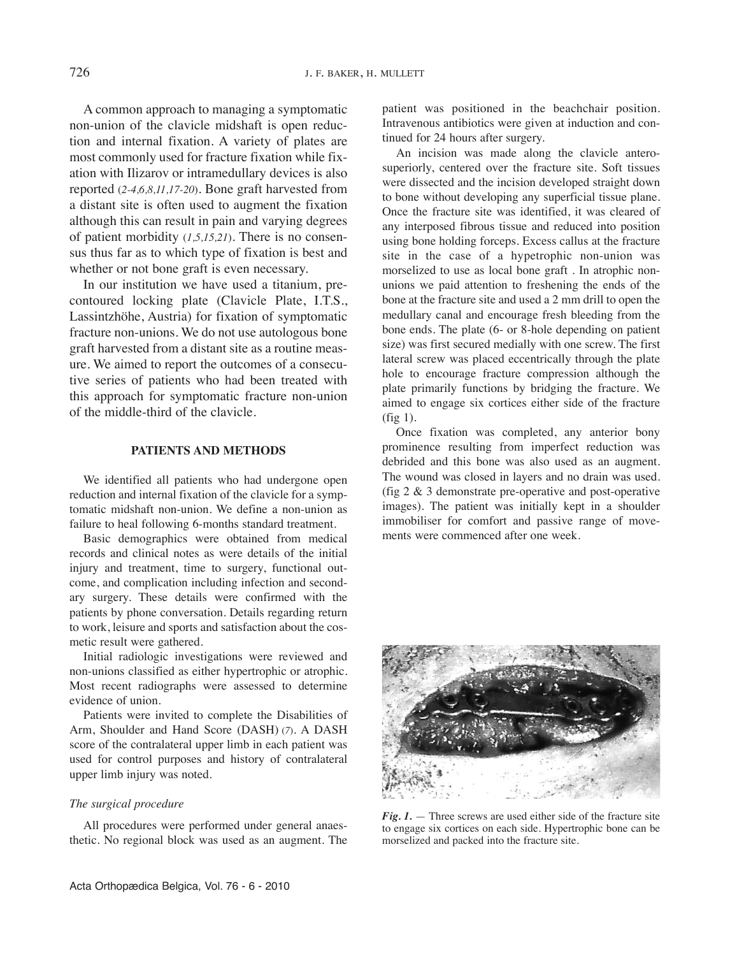A common approach to managing a symptomatic non-union of the clavicle midshaft is open reduction and internal fixation. A variety of plates are most commonly used for fracture fixation while fixation with Ilizarov or intramedullary devices is also reported (*2-4,6,8,11,17-20*). Bone graft harvested from a distant site is often used to augment the fixation although this can result in pain and varying degrees of patient morbidity  $(1,5,15,21)$ . There is no consensus thus far as to which type of fixation is best and whether or not bone graft is even necessary.

In our institution we have used a titanium, precontoured locking plate (Clavicle Plate, I.T.S., Lassintzhöhe, Austria) for fixation of symptomatic fracture non-unions. We do not use autologous bone graft harvested from a distant site as a routine measure. We aimed to report the outcomes of a consecutive series of patients who had been treated with this approach for symptomatic fracture non-union of the middle-third of the clavicle.

## **PATIENTS AND METHODS**

We identified all patients who had undergone open reduction and internal fixation of the clavicle for a symptomatic midshaft non-union. We define a non-union as failure to heal following 6-months standard treatment.

Basic demographics were obtained from medical records and clinical notes as were details of the initial injury and treatment, time to surgery, functional outcome, and complication including infection and secondary surgery. These details were confirmed with the patients by phone conversation. Details regarding return to work, leisure and sports and satisfaction about the cosmetic result were gathered.

Initial radiologic investigations were reviewed and non-unions classified as either hypertrophic or atrophic. Most recent radiographs were assessed to determine evidence of union.

Patients were invited to complete the Disabilities of Arm, Shoulder and Hand Score (DASH) (*7*)*.* A DASH score of the contralateral upper limb in each patient was used for control purposes and history of contralateral upper limb injury was noted.

#### *The surgical procedure*

All procedures were performed under general anaesthetic. No regional block was used as an augment. The patient was positioned in the beachchair position. Intravenous antibiotics were given at induction and continued for 24 hours after surgery.

An incision was made along the clavicle anterosuperiorly, centered over the fracture site. Soft tissues were dissected and the incision developed straight down to bone without developing any superficial tissue plane. Once the fracture site was identified, it was cleared of any interposed fibrous tissue and reduced into position using bone holding forceps. Excess callus at the fracture site in the case of a hypetrophic non-union was morselized to use as local bone graft . In atrophic nonunions we paid attention to freshening the ends of the bone at the fracture site and used a 2 mm drill to open the medullary canal and encourage fresh bleeding from the bone ends. The plate (6- or 8-hole depending on patient size) was first secured medially with one screw. The first lateral screw was placed eccentrically through the plate hole to encourage fracture compression although the plate primarily functions by bridging the fracture. We aimed to engage six cortices either side of the fracture (fig 1).

Once fixation was completed, any anterior bony prominence resulting from imperfect reduction was debrided and this bone was also used as an augment. The wound was closed in layers and no drain was used. (fig 2 & 3 demonstrate pre-operative and post-operative images). The patient was initially kept in a shoulder immobiliser for comfort and passive range of movements were commenced after one week.



 $Fig. 1.$  — Three screws are used either side of the fracture site to engage six cortices on each side. Hypertrophic bone can be morselized and packed into the fracture site.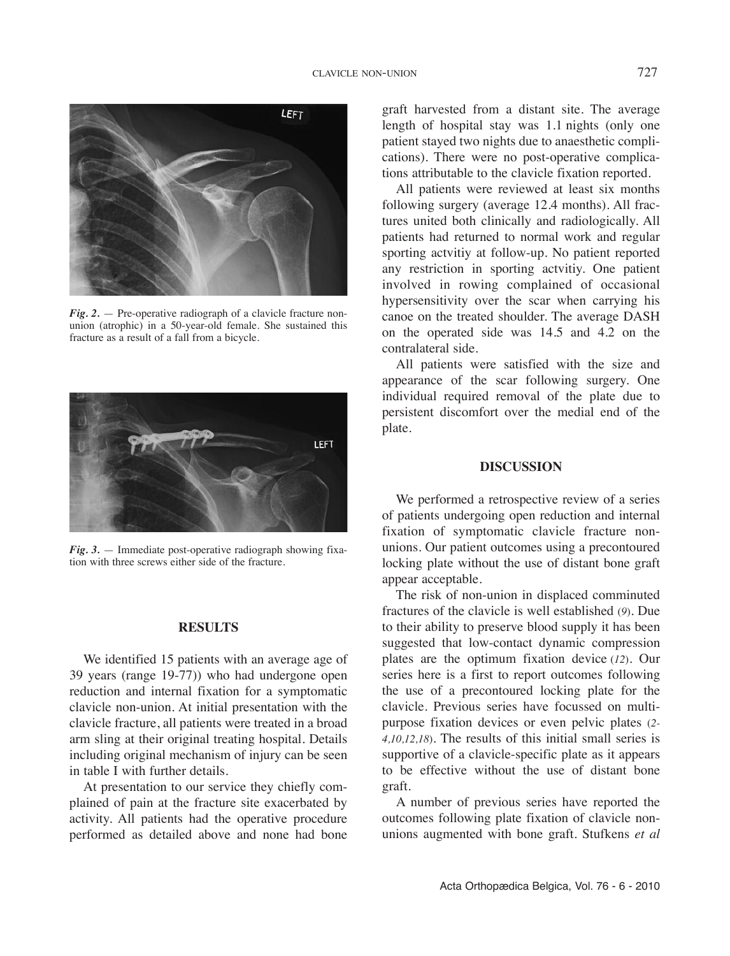

*Fig. 2.* — Pre-operative radiograph of a clavicle fracture nonunion (atrophic) in a 50-year-old female. She sustained this fracture as a result of a fall from a bicycle.



*Fig. 3.* — Immediate post-operative radiograph showing fixation with three screws either side of the fracture.

#### **RESULTS**

We identified 15 patients with an average age of 39 years (range 19-77)) who had undergone open reduction and internal fixation for a symptomatic clavicle non-union. At initial presentation with the clavicle fracture, all patients were treated in a broad arm sling at their original treating hospital. Details including original mechanism of injury can be seen in table I with further details.

At presentation to our service they chiefly complained of pain at the fracture site exacerbated by activity. All patients had the operative procedure performed as detailed above and none had bone

graft harvested from a distant site. The average length of hospital stay was 1.1 nights (only one patient stayed two nights due to anaesthetic complications). There were no post-operative complications attributable to the clavicle fixation reported.

All patients were reviewed at least six months following surgery (average 12.4 months). All fractures united both clinically and radiologically. All patients had returned to normal work and regular sporting actvitiy at follow-up. No patient reported any restriction in sporting actvitiy. One patient involved in rowing complained of occasional hypersensitivity over the scar when carrying his canoe on the treated shoulder. The average DASH on the operated side was 14.5 and 4.2 on the contralateral side.

All patients were satisfied with the size and appearance of the scar following surgery. One individual required removal of the plate due to persistent discomfort over the medial end of the plate.

### **DISCUSSION**

We performed a retrospective review of a series of patients undergoing open reduction and internal fixation of symptomatic clavicle fracture nonunions. Our patient outcomes using a precontoured locking plate without the use of distant bone graft appear acceptable.

The risk of non-union in displaced comminuted fractures of the clavicle is well established (*9*)*.* Due to their ability to preserve blood supply it has been suggested that low-contact dynamic compression plates are the optimum fixation device (*12*)*.* Our series here is a first to report outcomes following the use of a precontoured locking plate for the clavicle. Previous series have focussed on multipurpose fixation devices or even pelvic plates (*2- 4,10,12,18*)*.* the results of this initial small series is supportive of a clavicle-specific plate as it appears to be effective without the use of distant bone graft.

A number of previous series have reported the outcomes following plate fixation of clavicle nonunions augmented with bone graft. Stufkens *et al*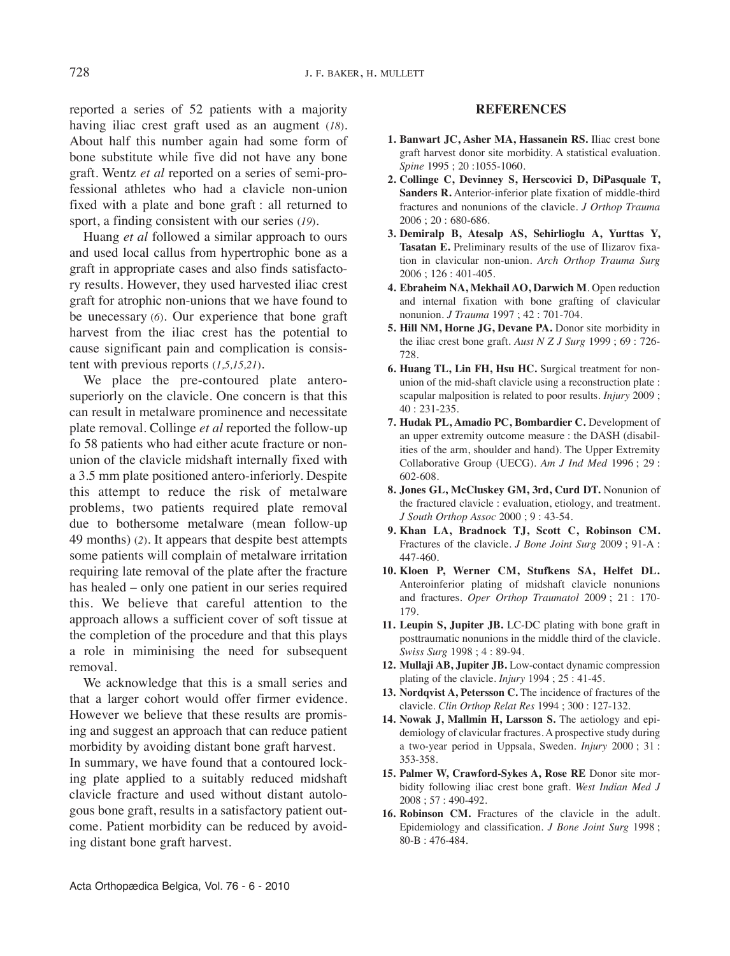reported a series of 52 patients with a majority having iliac crest graft used as an augment (*18*)*.* About half this number again had some form of bone substitute while five did not have any bone graft. Wentz *et al* reported on a series of semi-professional athletes who had a clavicle non-union fixed with a plate and bone graft : all returned to sport, a finding consistent with our series (*19*)*.*

Huang *et al* followed a similar approach to ours and used local callus from hypertrophic bone as a graft in appropriate cases and also finds satisfactory results. However, they used harvested iliac crest graft for atrophic non-unions that we have found to be unecessary (*6*)*.* Our experience that bone graft harvest from the iliac crest has the potential to cause significant pain and complication is consistent with previous reports (*1,5,15,21*)*.*

We place the pre-contoured plate anterosuperiorly on the clavicle. One concern is that this can result in metalware prominence and necessitate plate removal. Collinge *et al* reported the follow-up fo 58 patients who had either acute fracture or nonunion of the clavicle midshaft internally fixed with a 3.5 mm plate positioned antero-inferiorly. Despite this attempt to reduce the risk of metalware problems, two patients required plate removal due to bothersome metalware (mean follow-up 49 months) (*2*)*.* It appears that despite best attempts some patients will complain of metalware irritation requiring late removal of the plate after the fracture has healed – only one patient in our series required this. We believe that careful attention to the approach allows a sufficient cover of soft tissue at the completion of the procedure and that this plays a role in miminising the need for subsequent removal.

We acknowledge that this is a small series and that a larger cohort would offer firmer evidence. However we believe that these results are promising and suggest an approach that can reduce patient morbidity by avoiding distant bone graft harvest.

In summary, we have found that a contoured locking plate applied to a suitably reduced midshaft clavicle fracture and used without distant autologous bone graft, results in a satisfactory patient outcome. Patient morbidity can be reduced by avoiding distant bone graft harvest.

# **REFERENCES**

- **1. Banwart JC, Asher MA, Hassanein RS.** Iliac crest bone graft harvest donor site morbidity. A statistical evaluation. *Spine* 1995 ; 20 :1055-1060.
- **2. Collinge C, Devinney S, Herscovici D, DiPasquale T, Sanders R.** Anterior-inferior plate fixation of middle-third fractures and nonunions of the clavicle. *J Orthop Trauma* 2006 ; 20 : 680-686.
- **3. Demiralp B, Atesalp AS, Sehirlioglu A, Yurttas Y, Tasatan E.** Preliminary results of the use of Ilizarov fixation in clavicular non-union. *Arch Orthop Trauma Surg* 2006 ; 126 : 401-405.
- **4. Ebraheim NA, Mekhail AO, Darwich M**. Open reduction and internal fixation with bone grafting of clavicular nonunion. *J Trauma* 1997 ; 42 : 701-704.
- **5. Hill NM, Horne JG, Devane PA.** Donor site morbidity in the iliac crest bone graft. *Aust N Z J Surg* 1999 ; 69 : 726- 728.
- **6. Huang TL, Lin FH, Hsu HC.** Surgical treatment for nonunion of the mid-shaft clavicle using a reconstruction plate : scapular malposition is related to poor results. *Injury* 2009 ; 40 : 231-235.
- **7. Hudak PL, Amadio PC, Bombardier C.** Development of an upper extremity outcome measure : the DASH (disabilities of the arm, shoulder and hand). The Upper Extremity Collaborative Group (uECG). *Am J Ind Med* 1996 ; 29 : 602-608.
- **8. Jones GL, McCluskey GM, 3rd, Curd DT.** Nonunion of the fractured clavicle : evaluation, etiology, and treatment. *J South Orthop Assoc* 2000 ; 9 : 43-54.
- **9. Khan LA, Bradnock TJ, Scott C, Robinson CM.** Fractures of the clavicle. *J Bone Joint Surg* 2009 ; 91-A : 447-460.
- **10. Kloen P, Werner CM, Stufkens SA, Helfet DL.** Anteroinferior plating of midshaft clavicle nonunions and fractures. *Oper Orthop Traumatol* 2009 ; 21 : 170- 179.
- **11. Leupin S, Jupiter JB.** lC-DC plating with bone graft in posttraumatic nonunions in the middle third of the clavicle. *Swiss Surg* 1998 ; 4 : 89-94.
- **12. Mullaji AB, Jupiter JB.** low-contact dynamic compression plating of the clavicle. *Injury* 1994 ; 25 : 41-45.
- **13. Nordqvist A, Petersson C.** the incidence of fractures of the clavicle. *Clin Orthop Relat Res* 1994 ; 300 : 127-132.
- **14. Nowak J, Mallmin H, Larsson S.** the aetiology and epidemiology of clavicular fractures. A prospective study during a two-year period in Uppsala, Sweden. *Injury* 2000; 31: 353-358.
- **15. Palmer W, Crawford-Sykes A, Rose RE** Donor site morbidity following iliac crest bone graft. *West Indian Med J* 2008 ; 57 : 490-492.
- **16. Robinson CM.** Fractures of the clavicle in the adult. Epidemiology and classification. *J Bone Joint Surg* 1998 ; 80-B : 476-484.